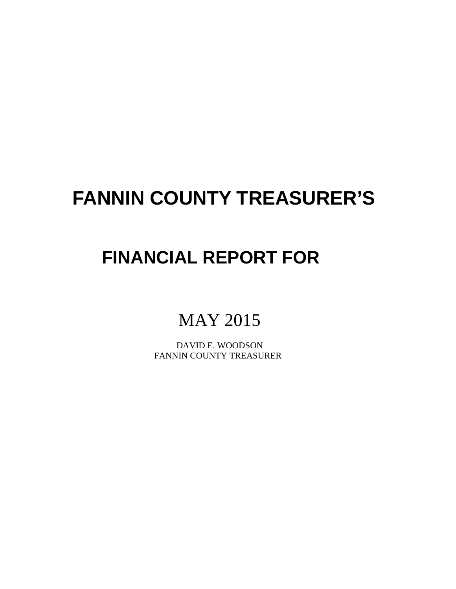# **FANNIN COUNTY TREASURER'S**

# **FINANCIAL REPORT FOR**

# MAY 2015

 DAVID E. WOODSON FANNIN COUNTY TREASURER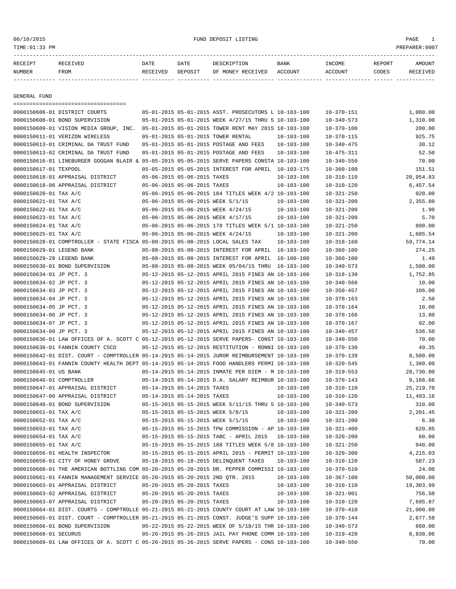### 06/10/2015 FUND DEPOSIT LISTING PAGE 1

| RECEIPT | <b>RECEIVED</b> | DATE     | DATE    | DESCRIPTION       | <b>BANK</b> | <b>TNCOME</b> | <b>REPORT</b> | AMOUNT          |
|---------|-----------------|----------|---------|-------------------|-------------|---------------|---------------|-----------------|
| NUMBER  | FROM            | RECEIVED | DEPOSIT | OF MONEY RECEIVED | ACCOUNT     | ACCOUNT       | CODES         | <b>RECEIVED</b> |
|         |                 |          |         |                   |             |               |               |                 |

GENERAL FUND

| =====================================                                                                                            |                             |                             |                                                      |                  |                                      |             |
|----------------------------------------------------------------------------------------------------------------------------------|-----------------------------|-----------------------------|------------------------------------------------------|------------------|--------------------------------------|-------------|
| 0000150606-01 DISTRICT COURTS                                                                                                    |                             |                             | 05-01-2015 05-01-2015 ASST. PROSECUTORS L 10-103-100 |                  | $10 - 370 - 151$                     | 1,080.00    |
| 0000150608-01 BOND SUPERVISION                                                                                                   |                             |                             | 05-01-2015 05-01-2015 WEEK 4/27/15 THRU 5 10-103-100 |                  | $10 - 340 - 573$                     | 1,310.00    |
| 0000150609-01 VISION MEDIA GROUP, INC. 05-01-2015 05-01-2015 TOWER RENT MAY 2015 10-103-100                                      |                             |                             |                                                      |                  | $10 - 370 - 100$                     | 200.00      |
| 0000150611-01 VERIZON WIRELESS                                                                                                   |                             |                             | 05-01-2015 05-01-2015 TOWER RENTAL                   | $10 - 103 - 100$ | $10 - 370 - 115$                     | 925.75      |
| 0000150613-01 CRIMINAL DA TRUST FUND                                                                                             |                             |                             | 05-01-2015 05-01-2015 POSTAGE AND FEES               | 10-103-100       | $10 - 340 - 475$                     | 30.12       |
| 0000150613-02 CRIMINAL DA TRUST FUND                                                                                             |                             |                             | 05-01-2015 05-01-2015 POSTAGE AND FEES               | $10 - 103 - 100$ | $10 - 475 - 311$                     | 52.50       |
| 0000150616-01 LINEBURGER GOGGAN BLAIR & 05-05-2015 05-05-2015 SERVE PAPERS CONSTA 10-103-100                                     |                             |                             |                                                      |                  | $10 - 340 - 550$                     | 70.00       |
| 0000150617-01 TEXPOOL                                                                                                            |                             |                             | 05-05-2015 05-05-2015 INTEREST FOR APRIL 10-103-175  |                  | $10 - 360 - 100$                     | 151.51      |
| 0000150618-01 APPRAISAL DISTRICT                                                                                                 |                             | 05-06-2015 05-06-2015 TAXES |                                                      | $10 - 103 - 100$ | $10 - 310 - 110$                     | 20,954.83   |
| 0000150618-06 APPRAISAL DISTRICT                                                                                                 |                             | 05-06-2015 05-06-2015 TAXES |                                                      | $10 - 103 - 100$ | $10 - 310 - 120$                     | 6,457.54    |
| 0000150620-01 TAX A/C                                                                                                            |                             |                             | 05-06-2015 05-06-2015 184 TITLES WEEK 4/2 10-103-100 |                  | $10 - 321 - 250$                     | 920.00      |
| 0000150621-01 TAX A/C                                                                                                            |                             |                             | 05-06-2015 05-06-2015 WEEK 5/1/15                    | $10 - 103 - 100$ | $10 - 321 - 200$                     | 2,355.80    |
| 0000150622-01 TAX A/C                                                                                                            |                             |                             | 05-06-2015 05-06-2015 WEEK 4/24/15                   | 10-103-100       | $10 - 321 - 200$                     | 1.90        |
| 0000150623-01 TAX A/C                                                                                                            |                             |                             | 05-06-2015 05-06-2015 WEEK 4/17/15                   | $10 - 103 - 100$ | $10 - 321 - 200$                     | 5.70        |
| 0000150624-01 TAX A/C                                                                                                            |                             |                             | 05-06-2015 05-06-2015 178 TITLES WEEK 5/1 10-103-100 |                  | $10 - 321 - 250$                     | 890.00      |
| 0000150625-01 TAX A/C                                                                                                            |                             |                             | 05-06-2015 05-06-2015 WEEK 4/24/15                   | $10 - 103 - 100$ | $10 - 321 - 200$                     | 1,605.54    |
| 0000150628-01 COMPTROLLER - STATE FISCA 05-08-2015 05-08-2015 LOCAL SALES TAX                                                    |                             |                             |                                                      | 10-103-100       | $10 - 318 - 160$                     | 59,774.14   |
| 0000150629-01 LEGEND BANK                                                                                                        |                             |                             | 05-08-2015 05-08-2015 INTEREST FOR APRIL 10-103-100  |                  | $10 - 360 - 100$                     | 274.25      |
| 0000150629-28 LEGEND BANK                                                                                                        |                             |                             | 05-08-2015 05-08-2015 INTEREST FOR APRIL 10-100-100  |                  | $10 - 360 - 100$                     | 1.49        |
| 0000150630-01 BOND SUPERVISION                                                                                                   |                             |                             | 05-08-2015 05-08-2015 WEEK 05/04/15 THRU 10-103-100  |                  | $10 - 340 - 573$                     | 1,500.00    |
| 0000150634-01 JP PCT. 3                                                                                                          |                             |                             | 05-12-2015 05-12-2015 APRIL 2015 FINES AN 10-103-100 |                  | $10 - 318 - 130$                     | 1,752.85    |
| 0000150634-02 JP PCT. 3                                                                                                          |                             |                             | 05-12-2015 05-12-2015 APRIL 2015 FINES AN 10-103-100 |                  | $10 - 340 - 560$                     | 10.00       |
| 0000150634-03 JP PCT. 3                                                                                                          |                             |                             | 05-12-2015 05-12-2015 APRIL 2015 FINES AN 10-103-100 |                  | $10 - 350 - 457$                     | 106.00      |
| 0000150634-04 JP PCT. 3                                                                                                          |                             |                             | 05-12-2015 05-12-2015 APRIL 2015 FINES AN 10-103-100 |                  | $10 - 370 - 163$                     | 2.50        |
| 0000150634-05 JP PCT. 3                                                                                                          |                             |                             | 05-12-2015 05-12-2015 APRIL 2015 FINES AN 10-103-100 |                  | $10 - 370 - 164$                     | 10.00       |
| 0000150634-06 JP PCT. 3                                                                                                          |                             |                             | 05-12-2015 05-12-2015 APRIL 2015 FINES AN 10-103-100 |                  | $10 - 370 - 166$                     | 13.80       |
| 0000150634-07 JP PCT. 3                                                                                                          |                             |                             | 05-12-2015 05-12-2015 APRIL 2015 FINES AN 10-103-100 |                  | $10 - 370 - 167$                     | 92.00       |
| 0000150634-08 JP PCT. 3                                                                                                          |                             |                             | 05-12-2015 05-12-2015 APRIL 2015 FINES AN 10-103-100 |                  | $10 - 340 - 457$                     | 536.50      |
| 0000150636-01 LAW OFFICES OF A. SCOTT C 05-12-2015 05-12-2015 SERVE PAPERS- CONST 10-103-100                                     |                             |                             |                                                      |                  | $10 - 340 - 550$                     | 70.00       |
| 0000150638-01 FANNIN COUNTY CSCD                                                                                                 |                             |                             | 05-12-2015 05-12-2015 RESTITUTION - RONNI 10-103-100 |                  | $10 - 370 - 130$                     | 49.35       |
| 0000150642-01 DIST. COURT - COMPTROLLER 05-14-2015 05-14-2015 JUROR REIMBURSEMENT 10-103-100                                     |                             |                             |                                                      |                  | $10 - 370 - 139$                     | 8,500.00    |
| 0000150643-01 FANNIN COUNTY HEALTH DEPT 05-14-2015 05-14-2015 FOOD HANDLERS PERMI 10-103-100                                     |                             |                             |                                                      |                  | $10 - 320 - 545$                     | 1,380.00    |
| 0000150645-01 US BANK                                                                                                            |                             |                             | 05-14-2015 05-14-2015 INMATE PER DIEM - M 10-103-100 |                  | $10 - 319 - 553$                     | 28,730.00   |
| 0000150646-01 COMPTROLLER                                                                                                        |                             |                             | 05-14-2015 05-14-2015 D.A. SALARY REIMBUR 10-103-100 |                  | $10 - 370 - 143$                     | 9,166.66    |
| 0000150647-01 APPRAISAL DISTRICT                                                                                                 |                             | 05-14-2015 05-14-2015 TAXES |                                                      | 10-103-100       | $10 - 310 - 110$                     | 25, 219. 70 |
| 0000150647-06 APPRAISAL DISTRICT                                                                                                 |                             | 05-14-2015 05-14-2015 TAXES |                                                      | $10 - 103 - 100$ | $10 - 310 - 120$                     | 11,493.16   |
| 0000150648-01 BOND SUPERVISION                                                                                                   |                             |                             | 05-15-2015 05-15-2015 WEEK 5/11/15 THRU 5 10-103-100 |                  | $10 - 340 - 573$                     | 310.00      |
| 0000150651-01 TAX A/C                                                                                                            |                             |                             | 05-15-2015 05-15-2015 WEEK 5/8/15                    | 10-103-100       | $10 - 321 - 200$                     | 2,201.45    |
| 0000150652-01 TAX A/C                                                                                                            |                             |                             | 05-15-2015 05-15-2015 WEEK 5/1/15                    | 10-103-100       | $10 - 321 - 200$                     | 6.30        |
| 0000150653-01 TAX A/C                                                                                                            |                             |                             | 05-15-2015 05-15-2015 TPW COMMISSION - AP 10-103-100 |                  | $10 - 321 - 400$                     | 620.85      |
| 0000150654-01 TAX A/C                                                                                                            |                             |                             | 05-15-2015 05-15-2015 TABC - APRIL 2015 10-103-100   |                  | $10 - 320 - 200$                     | 60.00       |
| 0000150655-01 TAX A/C                                                                                                            |                             |                             | 05-15-2015 05-15-2015 188 TITLES WEEK 5/8 10-103-100 |                  | $10 - 321 - 250$                     | 940.00      |
| 0000150656-01 HEALTH INSPECTOR                                                                                                   |                             |                             | 05-15-2015 05-15-2015 APRIL 2015 - PERMIT 10-103-100 |                  | $10 - 320 - 300$                     | 4,215.03    |
| 0000150658-01 CITY OF HONEY GROVE 05-18-2015 05-18-2015 DELINQUENT TAXES                                                         |                             |                             |                                                      | $10 - 103 - 100$ | $10 - 310 - 120$                     | 587.23      |
| 0000150660-01 THE AMERICAN BOTTLING COM 05-20-2015 05-20-2015 DR. PEPPER COMMISSI 10-103-100                                     |                             |                             |                                                      |                  | $10 - 370 - 510$                     | 24.00       |
| 0000150661-01 FANNIN MANAGEMENT SERVICE 05-20-2015 05-20-2015 2ND QTR. 2015                                                      |                             |                             |                                                      | $10 - 103 - 100$ | $10 - 367 - 100$                     | 50,000.00   |
| 0000150663-01 APPRAISAL DISTRICT                                                                                                 |                             | 05-20-2015 05-20-2015 TAXES |                                                      | $10 - 103 - 100$ | $10 - 310 - 110$                     | 19,303.99   |
| 0000150663-02 APPRAISAL DISTRICT                                                                                                 | 05-20-2015 05-20-2015 TAXES |                             |                                                      | $10 - 103 - 100$ | $10 - 321 - 901$                     | 756.50      |
|                                                                                                                                  |                             |                             |                                                      |                  |                                      | 7,695.87    |
| 0000150663-07 APPRAISAL DISTRICT<br>0000150664-01 DIST. COURTS - COMPTROLLE 05-21-2015 05-21-2015 COUNTY COURT AT LAW 10-103-100 | 05-20-2015 05-20-2015 TAXES |                             |                                                      | $10 - 103 - 100$ | $10 - 310 - 120$<br>$10 - 370 - 410$ | 21,000.00   |
| 0000150665-01 DIST. COURT - COMPTROLLER 05-21-2015 05-21-2015 CONST. JUDGE'S SUPP 10-103-100                                     |                             |                             |                                                      |                  |                                      | 2,677.58    |
| 0000150666-01 BOND SUPERVISION                                                                                                   |                             |                             | 05-22-2015 05-22-2015 WEEK OF 5/18/15 THR 10-103-100 |                  | 10-370-144                           | 660.00      |
|                                                                                                                                  |                             |                             |                                                      |                  | $10 - 340 - 573$                     |             |
| 0000150668-01 SECURUS                                                                                                            |                             |                             | 05-26-2015 05-26-2015 JAIL PAY PHONE COMM 10-103-100 |                  | $10 - 319 - 420$                     | 8,838.06    |
| 0000150669-01 LAW OFFICES OF A. SCOTT C 05-26-2015 05-26-2015 SERVE PAPERS - CONS 10-103-100                                     |                             |                             |                                                      |                  | $10 - 340 - 550$                     | 70.00       |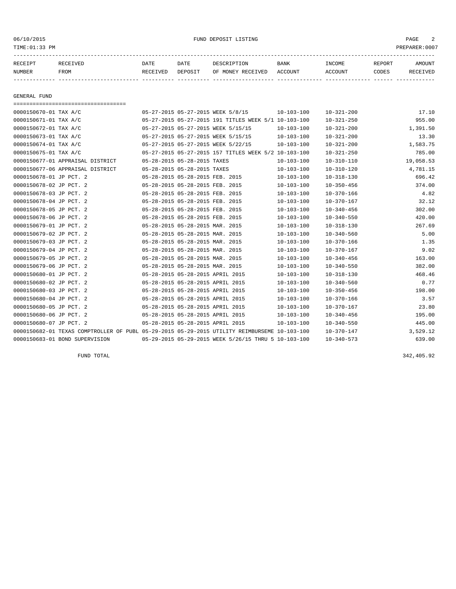#### 06/10/2015 FUND DEPOSIT LISTING PAGE 2

| RECEIPT       | <b>RECEIVED</b> | DATE     | DATE    | DESCRIPTION          | <b>BANK</b> | <b>TNCOME</b> | <b>REPORT</b> | <b>AMOUNT</b> |
|---------------|-----------------|----------|---------|----------------------|-------------|---------------|---------------|---------------|
| <b>NUMBER</b> | <b>FROM</b>     | RECEIVED | DEPOSIT | RECEIVED<br>OF MONEY | ACCOUNT     | ACCOUNT       | CODES         | [VED          |
|               |                 |          |         |                      |             |               |               |               |

GENERAL FUND

=================================== 0000150670-01 TAX A/C 05-27-2015 05-27-2015 WEEK 5/8/15 10-103-100 10-321-200 17.10 0000150671-01 TAX A/C 05-27-2015 05-27-2015 191 TITLES WEEK 5/1 10-103-100 10-321-250 955.00 0000150672-01 TAX A/C 05-27-2015 05-27-2015 WEEK 5/15/15 10-103-100 10-321-200 1,391.50 0000150673-01 TAX A/C 05-27-2015 05-27-2015 WEEK 5/15/15 10-103-100 10-321-200 13.30 0000150674-01 TAX A/C 05-27-2015 05-27-2015 WEEK 5/22/15 10-103-100 10-321-200 1,583.75 0000150675-01 TAX A/C 05-27-2015 05-27-2015 157 TITLES WEEK 5/2 10-103-100 10-321-250 785.00 0000150677-01 APPRAISAL DISTRICT 05-28-2015 05-28-2015 TAXES 10-103-100 10-310-110 19,058.53 0000150677-06 APPRAISAL DISTRICT 05-28-2015 05-28-2015 TAXES 10-103-100 10-310-120 4,781.15 0000150678-01 JP PCT. 2 05-28-2015 05-28-2015 FEB. 2015 10-103-100 10-318-130 696.42 0000150678-02 JP PCT. 2 05-28-2015 05-28-2015 FEB. 2015 10-103-100 10-350-456 374.00 0000150678-03 JP PCT. 2 05-28-2015 05-28-2015 FEB. 2015 10-103-100 10-370-166 4.82 0000150678-04 JP PCT. 2 05-28-2015 05-28-2015 FEB. 2015 10-103-100 10-370-167 32.12 0000150678-05 JP PCT. 2 05-28-2015 05-28-2015 FEB. 2015 10-103-100 10-340-456 302.00 0000150678-06 JP PCT. 2 05-28-2015 05-28-2015 FEB. 2015 10-103-100 10-340-550 420.00 0000150679-01 JP PCT. 2 05-28-2015 05-28-2015 MAR. 2015 10-103-100 10-318-130 267.69 0000150679-02 JP PCT. 2 05-28-2015 05-28-2015 MAR. 2015 10-103-100 10-340-560 5.00 0000150679-03 JP PCT. 2 05-28-2015 05-28-2015 MAR. 2015 10-103-100 10-370-166 1.35 0000150679-04 JP PCT. 2 05-28-2015 05-28-2015 MAR. 2015 10-103-100 10-370-167 9.02 0000150679-05 JP PCT. 2 05-28-2015 05-28-2015 MAR. 2015 10-103-100 10-340-456 163.00 0000150679-06 JP PCT. 2 05-28-2015 05-28-2015 MAR. 2015 10-103-100 10-340-550 382.00 0000150680-01 JP PCT. 2 05-28-2015 05-28-2015 APRIL 2015 10-103-100 10-318-130 468.46 0000150680-02 JP PCT. 2 05-28-2015 05-28-2015 APRIL 2015 10-103-100 10-340-560 0.77 0000150680-03 JP PCT. 2 05-28-2015 05-28-2015 APRIL 2015 10-103-100 10-350-456 198.00 0000150680-04 JP PCT. 2 05-28-2015 05-28-2015 APRIL 2015 10-103-100 10-370-166 3.57 0000150680-05 JP PCT. 2 05-28-2015 05-28-2015 APRIL 2015 10-103-100 10-370-167 23.80 0000150680-06 JP PCT. 2 05-28-2015 05-28-2015 APRIL 2015 10-103-100 10-340-456 195.00 0000150680-07 JP PCT. 2 05-28-2015 05-28-2015 APRIL 2015 10-103-100 10-340-550 445.00 0000150682-01 TEXAS COMPTROLLER OF PUBL 05-29-2015 05-29-2015 UTILITY REIMBURSEME 10-103-100 10-370-147 3,529.12 0000150683-01 BOND SUPERVISION 05-29-2015 05-29-2015 WEEK 5/26/15 THRU 5 10-103-100 10-340-573 639.00

FUND TOTAL 342,405.92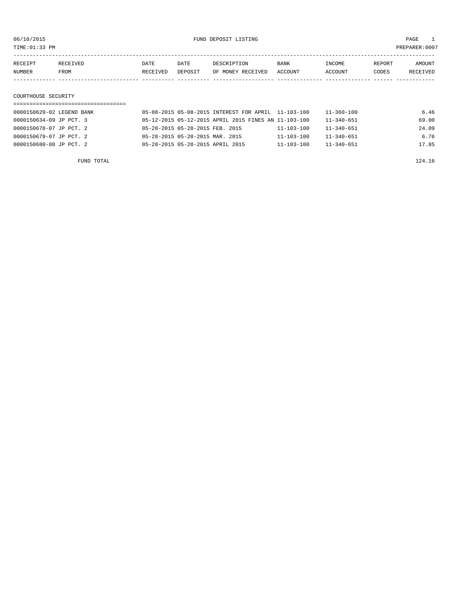TIME:01:33 PM PREPARER:0007

| RECEIPT | RECEIVED | DATE     | DATE    | DESCRIPTION       | <b>BANK</b> | INCOME  | REPORT | AMOUNT   |
|---------|----------|----------|---------|-------------------|-------------|---------|--------|----------|
| NUMBER  | FROM     | RECEIVED | DEPOSIT | OF MONEY RECEIVED | ACCOUNT     | ACCOUNT | CODES  | RECEIVED |
|         |          |          |         |                   |             |         |        |          |
|         |          |          |         |                   |             |         |        |          |

### COURTHOUSE SECURITY

| 0000150629-02 LEGEND BANK | 05-08-2015 05-08-2015 INTEREST FOR APRIL 11-103-100  | 11-360-100                           | 6.46  |
|---------------------------|------------------------------------------------------|--------------------------------------|-------|
| 0000150634-09 JP PCT. 3   | 05-12-2015 05-12-2015 APRIL 2015 FINES AN 11-103-100 | $11 - 340 - 651$                     | 69.00 |
| 0000150678-07 JP PCT. 2   | 05-28-2015 05-28-2015 FEB. 2015                      | $11 - 340 - 651$<br>$11 - 103 - 100$ | 24.09 |
| 0000150679-07 JP PCT, 2   | 05-28-2015 05-28-2015 MAR. 2015                      | $11 - 103 - 100$<br>$11 - 340 - 651$ | 6.76  |
| 0000150680-08 JP PCT, 2   | 05-28-2015 05-28-2015 APRIL 2015                     | $11 - 103 - 100$<br>$11 - 340 - 651$ | 17.85 |
|                           |                                                      |                                      |       |

FUND TOTAL 224.16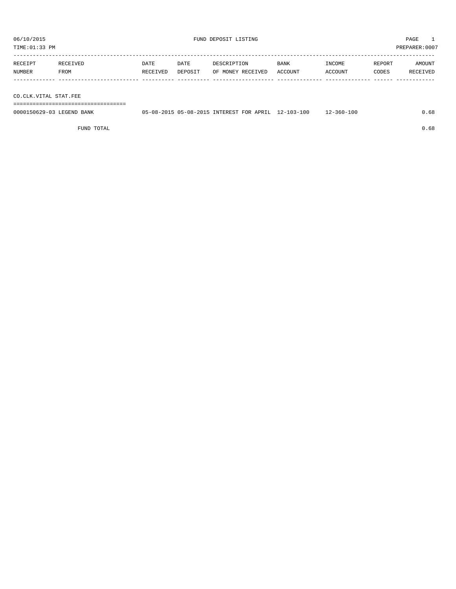TIME:01:33 PM PREPARER:0007

| RECEIPT | RECEIVED | DATE     | DATE    | DESCRIPTION       | <b>BANK</b> | INCOME  | REPORT | AMOUNT          |
|---------|----------|----------|---------|-------------------|-------------|---------|--------|-----------------|
| NUMBER  | FROM     | RECEIVED | DEPOSIT | OF MONEY RECEIVED | ACCOUNT     | ACCOUNT | CODES  | <b>RECEIVED</b> |
|         |          |          |         |                   |             |         |        |                 |

CO.CLK.VITAL STAT.FEE

===================================

| 0000150629-03 LEGEND BANK | 05-08-2015 05-08-2015 INTEREST FOR APRIL | $12 - 103 - 100$ | $12 - 360 - 100$ |  |
|---------------------------|------------------------------------------|------------------|------------------|--|
|                           |                                          |                  |                  |  |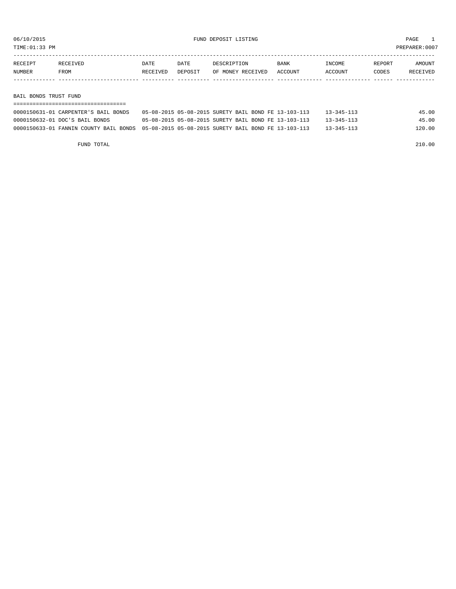TIME:01:33 PM PREPARER:0007

| RECEIPT | <b>RECEIVED</b> | DATE     | DATE    | DESCRIPTION       | <b>BANK</b> | NCOME <sup></sup> | REPORT | AMOUNT |
|---------|-----------------|----------|---------|-------------------|-------------|-------------------|--------|--------|
| NUMBER  | FROM            | RECEIVED | DEPOSIT | OF MONEY RECEIVED | ACCOUNT     | <b>CCOUNT</b>     | CODES  | CEIVED |
|         |                 |          |         |                   |             |                   |        |        |

BAIL BONDS TRUST FUND

| 0000150631-01 CARPENTER'S BAIL BONDS                                                        |  |  | 05-08-2015 05-08-2015 SURETY BAIL BOND FE 13-103-113 | $13 - 345 - 113$ | 45.00  |  |  |  |  |
|---------------------------------------------------------------------------------------------|--|--|------------------------------------------------------|------------------|--------|--|--|--|--|
| 0000150632-01 DOC'S BAIL BONDS                                                              |  |  | 05-08-2015 05-08-2015 SURETY BAIL BOND FE 13-103-113 | $13 - 345 - 113$ | 45.00  |  |  |  |  |
| 0000150633-01 FANNIN COUNTY BAIL BONDS 05-08-2015 05-08-2015 SURETY BAIL BOND FE 13-103-113 |  |  |                                                      | $13 - 345 - 113$ | 120.00 |  |  |  |  |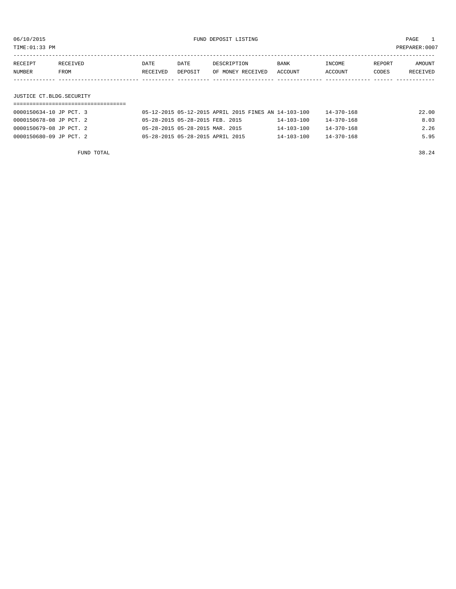TIME:01:33 PM PREPARER:0007

| RECEIPT | RECEIVED | DATE     | DATE    | DESCRIPTION       | <b>BANK</b> | INCOME  | REPORT | AMOUNT   |
|---------|----------|----------|---------|-------------------|-------------|---------|--------|----------|
| NUMBER  | FROM     | RECEIVED | DEPOSIT | OF MONEY RECEIVED | ACCOUNT     | ACCOUNT | CODES  | RECEIVED |
|         |          |          |         |                   |             |         |        |          |

# JUSTICE CT.BLDG.SECURITY

| 0000150634-10 JP PCT. 3 | 05-12-2015 05-12-2015 APRIL 2015 FINES AN 14-103-100 |                  | 14-370-168       | 22.00 |
|-------------------------|------------------------------------------------------|------------------|------------------|-------|
| 0000150678-08 JP PCT. 2 | 05-28-2015 05-28-2015 FEB. 2015                      | $14 - 103 - 100$ | $14 - 370 - 168$ | 8.03  |
| 0000150679-08 JP PCT. 2 | 05-28-2015 05-28-2015 MAR. 2015                      | $14 - 103 - 100$ | $14 - 370 - 168$ | 2.26  |
| 0000150680-09 JP PCT. 2 | 05-28-2015 05-28-2015 APRIL 2015                     | $14 - 103 - 100$ | $14 - 370 - 168$ | 5.95  |

FUND TOTAL 38.24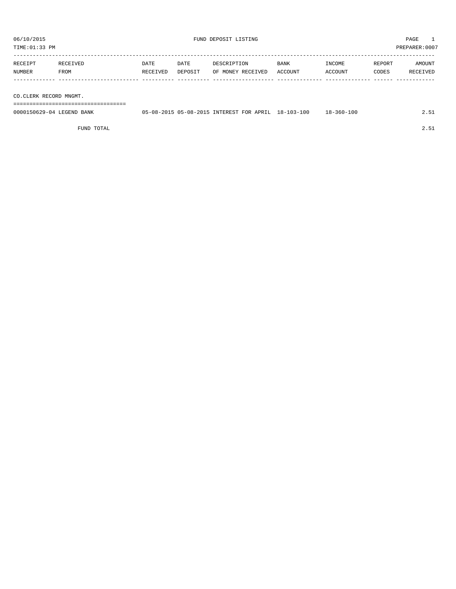TIME:01:33 PM PREPARER:0007

| RECEIPT | <b>RECEIVED</b> | DATE     | DATE    | DESCRIPTION       | <b>BANK</b>    | <b>INCOME</b> | REPORT | AMOUNT          |
|---------|-----------------|----------|---------|-------------------|----------------|---------------|--------|-----------------|
| NUMBER  | FROM            | RECEIVED | DEPOSIT | OF MONEY RECEIVED | <b>ACCOUNT</b> | <b>CCOUNT</b> | CODES  | <b>RECEIVED</b> |
|         |                 |          |         |                   |                |               |        |                 |

CO.CLERK RECORD MNGMT.

===================================

| 0000150629-04 LEGEND BANK | 05-08-2015 05-08-2015 INTEREST FOR APRIL |  | 18-103-100 | $18 - 360 - 100$ |  |
|---------------------------|------------------------------------------|--|------------|------------------|--|
|                           |                                          |  |            |                  |  |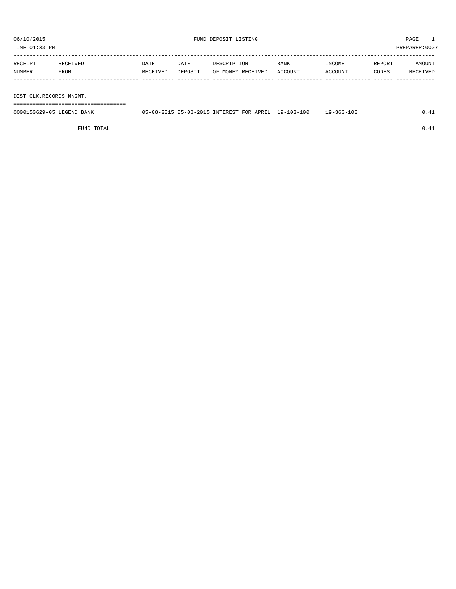| RECEIPT | RECEIVED | <b>DATE</b> | DATE    | DESCRIPTION       | BANK    | INCOME  | REPORT | AMOUNT   |
|---------|----------|-------------|---------|-------------------|---------|---------|--------|----------|
| NUMBER  | FROM     | RECEIVED    | DEPOSIT | OF MONEY RECEIVED | ACCOUNT | ACCOUNT | CODES  | RECEIVED |
|         |          |             |         |                   |         |         |        |          |
|         |          |             |         |                   |         |         |        |          |

DIST.CLK.RECORDS MNGMT.

===================================

| 0000150629-05 LEGEND BANK | 05-08-2015 05-08-2015 INTEREST FOR APRIL |  | $19 - 103 - 100$ | $-360 - 100$<br>$Q -$ | $\sim$ |
|---------------------------|------------------------------------------|--|------------------|-----------------------|--------|
|                           |                                          |  |                  |                       |        |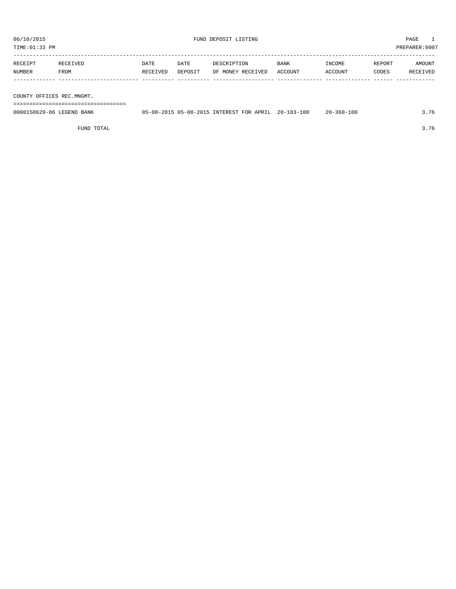TIME:01:33 PM PREPARER:0007

| RECEIPT | RECEIVED | DATE     | DATE    | DESCRIPTION       | BANK    | INCOME  | REPORT | AMOUNT   |
|---------|----------|----------|---------|-------------------|---------|---------|--------|----------|
| NUMBER  | FROM     | RECEIVED | DEPOSIT | OF MONEY RECEIVED | ACCOUNT | ACCOUNT | CODES  | RECEIVED |
|         |          |          |         |                   |         |         |        |          |
|         |          |          |         |                   |         |         |        |          |

COUNTY OFFICES REC.MNGMT.

===================================

| 0000150629-06 LEGEND BANK |  |  | 05-08-2015 05-08-2015 INTEREST FOR APRIL 20-103-100 | $20 - 360 - 100$ | 3.76 |
|---------------------------|--|--|-----------------------------------------------------|------------------|------|
|                           |  |  |                                                     |                  |      |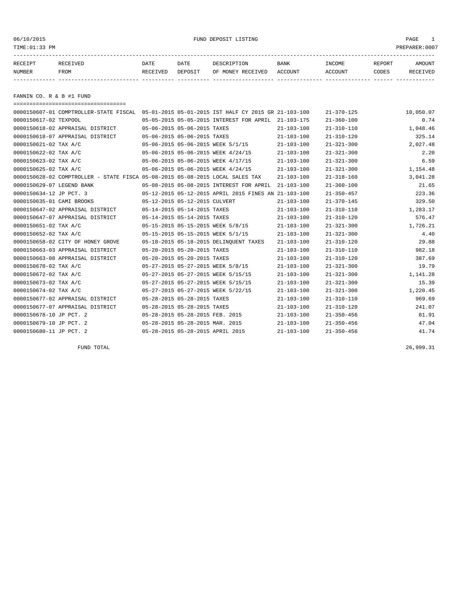#### 06/10/2015 FUND DEPOSIT LISTING PAGE 1

| RECEIPT | RECEIVED | DATE     | DATE    | DESCRIPTION       | <b>BANK</b> | <b>INCOME</b> | REPORT | AMOUNT   |
|---------|----------|----------|---------|-------------------|-------------|---------------|--------|----------|
| NUMBER  | FROM     | RECEIVED | DEPOSIT | OF MONEY RECEIVED | ACCOUNT     | ACCOUNT       | CODES  | RECEIVED |
|         |          |          |         |                   |             |               |        |          |

FANNIN CO. R & B #1 FUND

| ======================================                                        |                                  |                             |                                                      |                  |                  |           |
|-------------------------------------------------------------------------------|----------------------------------|-----------------------------|------------------------------------------------------|------------------|------------------|-----------|
| 0000150607-01 COMPTROLLER-STATE FISCAL                                        |                                  |                             | 05-01-2015 05-01-2015 IST HALF CY 2015 GR 21-103-100 |                  | $21 - 370 - 125$ | 10,050.07 |
| 0000150617-02 TEXPOOL                                                         |                                  |                             | 05-05-2015 05-05-2015 INTEREST FOR APRIL             | $21 - 103 - 175$ | $21 - 360 - 100$ | 0.74      |
| 0000150618-02 APPRAISAL DISTRICT                                              |                                  | 05-06-2015 05-06-2015 TAXES |                                                      | $21 - 103 - 100$ | $21 - 310 - 110$ | 1,048.46  |
| 0000150618-07 APPRAISAL DISTRICT                                              | 05-06-2015 05-06-2015 TAXES      |                             |                                                      | $21 - 103 - 100$ | $21 - 310 - 120$ | 325.14    |
| 0000150621-02 TAX A/C                                                         |                                  |                             | 05-06-2015 05-06-2015 WEEK 5/1/15                    | $21 - 103 - 100$ | $21 - 321 - 300$ | 2,027.48  |
| 0000150622-02 TAX A/C                                                         |                                  |                             | 05-06-2015 05-06-2015 WEEK 4/24/15                   | $21 - 103 - 100$ | $21 - 321 - 300$ | 2.20      |
| 0000150623-02 TAX A/C                                                         |                                  |                             | 05-06-2015 05-06-2015 WEEK 4/17/15                   | $21 - 103 - 100$ | $21 - 321 - 300$ | 6.59      |
| 0000150625-02 TAX A/C                                                         |                                  |                             | 05-06-2015 05-06-2015 WEEK 4/24/15                   | $21 - 103 - 100$ | $21 - 321 - 300$ | 1,154.48  |
| 0000150628-02 COMPTROLLER - STATE FISCA 05-08-2015 05-08-2015 LOCAL SALES TAX |                                  |                             |                                                      | $21 - 103 - 100$ | $21 - 318 - 160$ | 3,041.28  |
| 0000150629-07 LEGEND BANK                                                     |                                  |                             | 05-08-2015 05-08-2015 INTEREST FOR APRIL             | $21 - 103 - 100$ | $21 - 360 - 100$ | 21.65     |
| 0000150634-12 JP PCT. 3                                                       |                                  |                             | 05-12-2015 05-12-2015 APRIL 2015 FINES AN 21-103-100 |                  | $21 - 350 - 457$ | 223.36    |
| 0000150635-01 CAMI BROOKS                                                     | 05-12-2015 05-12-2015 CULVERT    |                             |                                                      | $21 - 103 - 100$ | $21 - 370 - 145$ | 329.50    |
| 0000150647-02 APPRAISAL DISTRICT                                              | 05-14-2015 05-14-2015 TAXES      |                             |                                                      | $21 - 103 - 100$ | $21 - 310 - 110$ | 1,283.17  |
| 0000150647-07 APPRAISAL DISTRICT                                              | 05-14-2015 05-14-2015 TAXES      |                             |                                                      | $21 - 103 - 100$ | $21 - 310 - 120$ | 576.47    |
| 0000150651-02 TAX A/C                                                         |                                  |                             | 05-15-2015 05-15-2015 WEEK 5/8/15                    | $21 - 103 - 100$ | $21 - 321 - 300$ | 1,726.21  |
| 0000150652-02 TAX A/C                                                         |                                  |                             | 05-15-2015 05-15-2015 WEEK 5/1/15                    | $21 - 103 - 100$ | $21 - 321 - 300$ | 4.40      |
| 0000150658-02 CITY OF HONEY GROVE                                             |                                  |                             | 05-18-2015 05-18-2015 DELINQUENT TAXES               | $21 - 103 - 100$ | $21 - 310 - 120$ | 29.88     |
| 0000150663-03 APPRAISAL DISTRICT                                              | 05-20-2015 05-20-2015 TAXES      |                             |                                                      | $21 - 103 - 100$ | $21 - 310 - 110$ | 982.18    |
| 0000150663-08 APPRAISAL DISTRICT                                              | 05-20-2015 05-20-2015 TAXES      |                             |                                                      | $21 - 103 - 100$ | $21 - 310 - 120$ | 387.69    |
| 0000150670-02 TAX A/C                                                         |                                  |                             | 05-27-2015 05-27-2015 WEEK 5/8/15                    | $21 - 103 - 100$ | $21 - 321 - 300$ | 19.79     |
| 0000150672-02 TAX A/C                                                         |                                  |                             | 05-27-2015 05-27-2015 WEEK 5/15/15                   | $21 - 103 - 100$ | $21 - 321 - 300$ | 1,141.28  |
| 0000150673-02 TAX A/C                                                         |                                  |                             | 05-27-2015 05-27-2015 WEEK 5/15/15                   | $21 - 103 - 100$ | $21 - 321 - 300$ | 15.39     |
| 0000150674-02 TAX A/C                                                         |                                  |                             | 05-27-2015 05-27-2015 WEEK 5/22/15                   | $21 - 103 - 100$ | $21 - 321 - 300$ | 1,220.45  |
| 0000150677-02 APPRAISAL DISTRICT                                              | 05-28-2015 05-28-2015 TAXES      |                             |                                                      | $21 - 103 - 100$ | $21 - 310 - 110$ | 969.69    |
| 0000150677-07 APPRAISAL DISTRICT                                              | 05-28-2015 05-28-2015 TAXES      |                             |                                                      | $21 - 103 - 100$ | $21 - 310 - 120$ | 241.07    |
| 0000150678-10 JP PCT. 2                                                       | 05-28-2015 05-28-2015 FEB. 2015  |                             |                                                      | $21 - 103 - 100$ | $21 - 350 - 456$ | 81.91     |
| 0000150679-10 JP PCT. 2                                                       | 05-28-2015 05-28-2015 MAR. 2015  |                             |                                                      | $21 - 103 - 100$ | $21 - 350 - 456$ | 47.04     |
| 0000150680-11 JP PCT. 2                                                       | 05-28-2015 05-28-2015 APRIL 2015 |                             |                                                      | $21 - 103 - 100$ | $21 - 350 - 456$ | 41.74     |

FUND TOTAL 26,999.31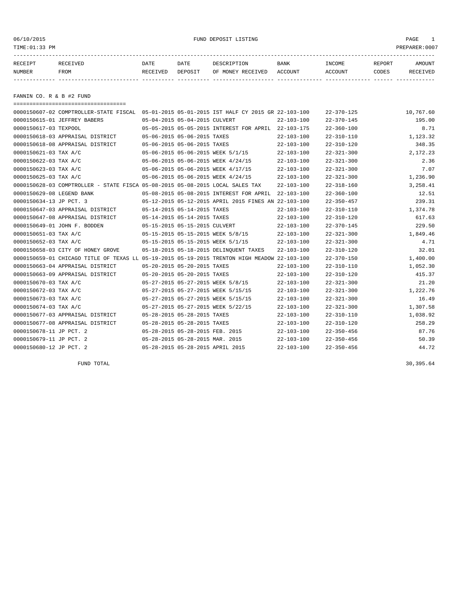06/10/2015 FUND DEPOSIT LISTING PAGE 1

| RECEIPT | <b>RECEIVED</b> | DATE     | DATE    | DESCRIPTION       | BANK    | <b>NCOME</b> | REPORT | AMOUNT          |
|---------|-----------------|----------|---------|-------------------|---------|--------------|--------|-----------------|
| NUMBER  | FROM            | RECEIVED | DEPOSIT | OF MONEY RECEIVED | ACCOUNT | ACCOUNT      | CODES  | <b>RECEIVED</b> |
|         |                 |          |         |                   |         |              |        |                 |

FANNIN CO. R & B #2 FUND

| =====================================                                                        |                                  |                             |                                                      |                  |                  |           |
|----------------------------------------------------------------------------------------------|----------------------------------|-----------------------------|------------------------------------------------------|------------------|------------------|-----------|
| 0000150607-02 COMPTROLLER-STATE FISCAL 05-01-2015 05-01-2015 IST HALF CY 2015 GR 22-103-100  |                                  |                             |                                                      |                  | $22 - 370 - 125$ | 10,767.60 |
| 0000150615-01 JEFFREY BABERS                                                                 | 05-04-2015 05-04-2015 CULVERT    |                             |                                                      | $22 - 103 - 100$ | $22 - 370 - 145$ | 195.00    |
| 0000150617-03 TEXPOOL                                                                        |                                  |                             | 05-05-2015 05-05-2015 INTEREST FOR APRIL 22-103-175  |                  | $22 - 360 - 100$ | 8.71      |
| 0000150618-03 APPRAISAL DISTRICT                                                             |                                  | 05-06-2015 05-06-2015 TAXES |                                                      | $22 - 103 - 100$ | $22 - 310 - 110$ | 1,123.32  |
| 0000150618-08 APPRAISAL DISTRICT                                                             |                                  | 05-06-2015 05-06-2015 TAXES |                                                      | $22 - 103 - 100$ | $22 - 310 - 120$ | 348.35    |
| 0000150621-03 TAX A/C                                                                        |                                  |                             | 05-06-2015 05-06-2015 WEEK 5/1/15                    | $22 - 103 - 100$ | $22 - 321 - 300$ | 2,172.23  |
| 0000150622-03 TAX A/C                                                                        |                                  |                             | 05-06-2015 05-06-2015 WEEK 4/24/15                   | $22 - 103 - 100$ | $22 - 321 - 300$ | 2.36      |
| 0000150623-03 TAX A/C                                                                        |                                  |                             | 05-06-2015 05-06-2015 WEEK 4/17/15                   | $22 - 103 - 100$ | $22 - 321 - 300$ | 7.07      |
| 0000150625-03 TAX A/C                                                                        |                                  |                             | 05-06-2015 05-06-2015 WEEK 4/24/15                   | $22 - 103 - 100$ | $22 - 321 - 300$ | 1,236.90  |
| 0000150628-03 COMPTROLLER - STATE FISCA 05-08-2015 05-08-2015 LOCAL SALES TAX                |                                  |                             |                                                      | $22 - 103 - 100$ | $22 - 318 - 160$ | 3,258.41  |
| 0000150629-08 LEGEND BANK                                                                    |                                  |                             | 05-08-2015 05-08-2015 INTEREST FOR APRIL             | $22 - 103 - 100$ | $22 - 360 - 100$ | 12.51     |
| 0000150634-13 JP PCT. 3                                                                      |                                  |                             | 05-12-2015 05-12-2015 APRIL 2015 FINES AN 22-103-100 |                  | $22 - 350 - 457$ | 239.31    |
| 0000150647-03 APPRAISAL DISTRICT                                                             | 05-14-2015 05-14-2015 TAXES      |                             |                                                      | $22 - 103 - 100$ | $22 - 310 - 110$ | 1,374.78  |
| 0000150647-08 APPRAISAL DISTRICT                                                             | 05-14-2015 05-14-2015 TAXES      |                             |                                                      | $22 - 103 - 100$ | $22 - 310 - 120$ | 617.63    |
| 0000150649-01 JOHN F. BODDEN                                                                 | 05-15-2015 05-15-2015 CULVERT    |                             |                                                      | $22 - 103 - 100$ | $22 - 370 - 145$ | 229.50    |
| 0000150651-03 TAX A/C                                                                        |                                  |                             | 05-15-2015 05-15-2015 WEEK 5/8/15                    | $22 - 103 - 100$ | $22 - 321 - 300$ | 1,849.46  |
| 0000150652-03 TAX A/C                                                                        |                                  |                             | 05-15-2015 05-15-2015 WEEK 5/1/15                    | $22 - 103 - 100$ | $22 - 321 - 300$ | 4.71      |
| 0000150658-03 CITY OF HONEY GROVE                                                            |                                  |                             | 05-18-2015 05-18-2015 DELINOUENT TAXES               | $22 - 103 - 100$ | $22 - 310 - 120$ | 32.01     |
| 0000150659-01 CHICAGO TITLE OF TEXAS LL 05-19-2015 05-19-2015 TRENTON HIGH MEADOW 22-103-100 |                                  |                             |                                                      |                  | $22 - 370 - 150$ | 1,400.00  |
| 0000150663-04 APPRAISAL DISTRICT                                                             | 05-20-2015 05-20-2015 TAXES      |                             |                                                      | $22 - 103 - 100$ | $22 - 310 - 110$ | 1,052.30  |
| 0000150663-09 APPRAISAL DISTRICT                                                             | 05-20-2015 05-20-2015 TAXES      |                             |                                                      | $22 - 103 - 100$ | $22 - 310 - 120$ | 415.37    |
| 0000150670-03 TAX A/C                                                                        |                                  |                             | 05-27-2015 05-27-2015 WEEK 5/8/15                    | $22 - 103 - 100$ | $22 - 321 - 300$ | 21.20     |
| 0000150672-03 TAX A/C                                                                        |                                  |                             | 05-27-2015 05-27-2015 WEEK 5/15/15                   | $22 - 103 - 100$ | $22 - 321 - 300$ | 1,222.76  |
| 0000150673-03 TAX A/C                                                                        |                                  |                             | 05-27-2015 05-27-2015 WEEK 5/15/15                   | $22 - 103 - 100$ | $22 - 321 - 300$ | 16.49     |
| 0000150674-03 TAX A/C                                                                        |                                  |                             | 05-27-2015 05-27-2015 WEEK 5/22/15                   | $22 - 103 - 100$ | $22 - 321 - 300$ | 1,307.58  |
| 0000150677-03 APPRAISAL DISTRICT                                                             |                                  | 05-28-2015 05-28-2015 TAXES |                                                      | $22 - 103 - 100$ | $22 - 310 - 110$ | 1,038.92  |
| 0000150677-08 APPRAISAL DISTRICT                                                             | 05-28-2015 05-28-2015 TAXES      |                             |                                                      | $22 - 103 - 100$ | $22 - 310 - 120$ | 258.29    |
| 0000150678-11 JP PCT. 2                                                                      | 05-28-2015 05-28-2015 FEB. 2015  |                             |                                                      | $22 - 103 - 100$ | $22 - 350 - 456$ | 87.76     |
| 0000150679-11 JP PCT. 2                                                                      | 05-28-2015 05-28-2015 MAR. 2015  |                             |                                                      | $22 - 103 - 100$ | $22 - 350 - 456$ | 50.39     |
| 0000150680-12 JP PCT. 2                                                                      | 05-28-2015 05-28-2015 APRIL 2015 |                             |                                                      | $22 - 103 - 100$ | $22 - 350 - 456$ | 44.72     |

FUND TOTAL  $30,395.64$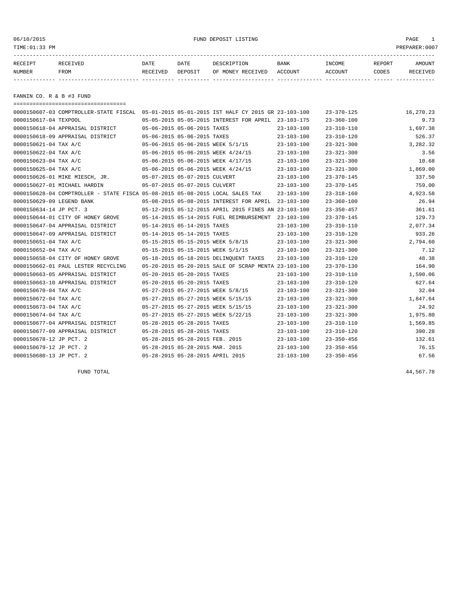#### 06/10/2015 FUND DEPOSIT LISTING PAGE 1

| RECEIPT | RECEIVED | DATE     | DATE    | DESCRIPTION       | <b>BANK</b> | <b>TNCOME</b> | <b>REPORT</b> | AMOUNT          |
|---------|----------|----------|---------|-------------------|-------------|---------------|---------------|-----------------|
| NUMBER  | FROM     | RECEIVED | DEPOSIT | OF MONEY RECEIVED | ACCOUNT     | ACCOUNT       | CODES         | <b>RECEIVED</b> |
|         |          |          |         |                   |             |               |               |                 |

FANNIN CO. R & B #3 FUND

===================================

| 0000150607-03 COMPTROLLER-STATE FISCAL 05-01-2015 05-01-2015 IST HALF CY 2015 GR 23-103-100 |                                 |                                                      |                  | $23 - 370 - 125$ | 16,270.23 |
|---------------------------------------------------------------------------------------------|---------------------------------|------------------------------------------------------|------------------|------------------|-----------|
| 0000150617-04 TEXPOOL                                                                       |                                 | 05-05-2015 05-05-2015 INTEREST FOR APRIL 23-103-175  |                  | $23 - 360 - 100$ | 9.73      |
| 0000150618-04 APPRAISAL DISTRICT                                                            | 05-06-2015 05-06-2015 TAXES     |                                                      | $23 - 103 - 100$ | $23 - 310 - 110$ | 1,697.38  |
| 0000150618-09 APPRAISAL DISTRICT                                                            | 05-06-2015 05-06-2015 TAXES     |                                                      | $23 - 103 - 100$ | $23 - 310 - 120$ | 526.37    |
| 0000150621-04 TAX A/C                                                                       |                                 | 05-06-2015 05-06-2015 WEEK 5/1/15                    | $23 - 103 - 100$ | $23 - 321 - 300$ | 3,282.32  |
| 0000150622-04 TAX A/C                                                                       |                                 | 05-06-2015 05-06-2015 WEEK 4/24/15                   | $23 - 103 - 100$ | $23 - 321 - 300$ | 3.56      |
| 0000150623-04 TAX A/C                                                                       |                                 | 05-06-2015 05-06-2015 WEEK 4/17/15                   | $23 - 103 - 100$ | $23 - 321 - 300$ | 10.68     |
| 0000150625-04 TAX A/C                                                                       |                                 | 05-06-2015 05-06-2015 WEEK 4/24/15                   | $23 - 103 - 100$ | $23 - 321 - 300$ | 1,869.00  |
| 0000150626-01 MIKE MIESCH, JR.                                                              | 05-07-2015 05-07-2015 CULVERT   |                                                      | $23 - 103 - 100$ | $23 - 370 - 145$ | 337.50    |
| 0000150627-01 MICHAEL HARDIN                                                                | 05-07-2015 05-07-2015 CULVERT   |                                                      | $23 - 103 - 100$ | $23 - 370 - 145$ | 759.00    |
| 0000150628-04 COMPTROLLER - STATE FISCA 05-08-2015 05-08-2015 LOCAL SALES TAX               |                                 |                                                      | $23 - 103 - 100$ | $23 - 318 - 160$ | 4,923.58  |
| 0000150629-09 LEGEND BANK                                                                   |                                 | 05-08-2015 05-08-2015 INTEREST FOR APRIL             | $23 - 103 - 100$ | $23 - 360 - 100$ | 26.94     |
| 0000150634-14 JP PCT. 3                                                                     |                                 | 05-12-2015 05-12-2015 APRIL 2015 FINES AN 23-103-100 |                  | $23 - 350 - 457$ | 361.61    |
| 0000150644-01 CITY OF HONEY GROVE                                                           |                                 | 05-14-2015 05-14-2015 FUEL REIMBURSEMENT             | 23-103-100       | $23 - 370 - 145$ | 129.73    |
| 0000150647-04 APPRAISAL DISTRICT                                                            | 05-14-2015 05-14-2015 TAXES     |                                                      | $23 - 103 - 100$ | $23 - 310 - 110$ | 2,077.34  |
| 0000150647-09 APPRAISAL DISTRICT                                                            | 05-14-2015 05-14-2015 TAXES     |                                                      | $23 - 103 - 100$ | $23 - 310 - 120$ | 933.26    |
| 0000150651-04 TAX A/C                                                                       |                                 | 05-15-2015 05-15-2015 WEEK 5/8/15                    | $23 - 103 - 100$ | $23 - 321 - 300$ | 2,794.60  |
| 0000150652-04 TAX A/C                                                                       |                                 | 05-15-2015 05-15-2015 WEEK 5/1/15                    | $23 - 103 - 100$ | $23 - 321 - 300$ | 7.12      |
| 0000150658-04 CITY OF HONEY GROVE                                                           |                                 | 05-18-2015 05-18-2015 DELINQUENT TAXES               | $23 - 103 - 100$ | $23 - 310 - 120$ | 48.38     |
| 0000150662-01 PAUL LESTER RECYCLING                                                         |                                 | 05-20-2015 05-20-2015 SALE OF SCRAP MENTA 23-103-100 |                  | $23 - 370 - 130$ | 164.90    |
| 0000150663-05 APPRAISAL DISTRICT                                                            | 05-20-2015 05-20-2015 TAXES     |                                                      | $23 - 103 - 100$ | $23 - 310 - 110$ | 1,590.06  |
| 0000150663-10 APPRAISAL DISTRICT                                                            | 05-20-2015 05-20-2015 TAXES     |                                                      | $23 - 103 - 100$ | $23 - 310 - 120$ | 627.64    |
| 0000150670-04 TAX A/C                                                                       |                                 | 05-27-2015 05-27-2015 WEEK 5/8/15                    | $23 - 103 - 100$ | $23 - 321 - 300$ | 32.04     |
| 0000150672-04 TAX A/C                                                                       |                                 | 05-27-2015 05-27-2015 WEEK 5/15/15                   | $23 - 103 - 100$ | $23 - 321 - 300$ | 1,847.64  |
| 0000150673-04 TAX A/C                                                                       |                                 | 05-27-2015 05-27-2015 WEEK 5/15/15                   | $23 - 103 - 100$ | $23 - 321 - 300$ | 24.92     |
| 0000150674-04 TAX A/C                                                                       |                                 | 05-27-2015 05-27-2015 WEEK 5/22/15                   | $23 - 103 - 100$ | $23 - 321 - 300$ | 1,975.80  |
| 0000150677-04 APPRAISAL DISTRICT                                                            | 05-28-2015 05-28-2015 TAXES     |                                                      | $23 - 103 - 100$ | $23 - 310 - 110$ | 1,569.85  |
| 0000150677-09 APPRAISAL DISTRICT                                                            | 05-28-2015 05-28-2015 TAXES     |                                                      | $23 - 103 - 100$ | $23 - 310 - 120$ | 390.28    |
| 0000150678-12 JP PCT. 2                                                                     | 05-28-2015 05-28-2015 FEB. 2015 |                                                      | $23 - 103 - 100$ | $23 - 350 - 456$ | 132.61    |
| 0000150679-12 JP PCT. 2                                                                     | 05-28-2015 05-28-2015 MAR. 2015 |                                                      | $23 - 103 - 100$ | $23 - 350 - 456$ | 76.15     |
| 0000150680-13 JP PCT. 2                                                                     |                                 | 05-28-2015 05-28-2015 APRIL 2015                     | $23 - 103 - 100$ | $23 - 350 - 456$ | 67.56     |

FUND TOTAL 44,567.78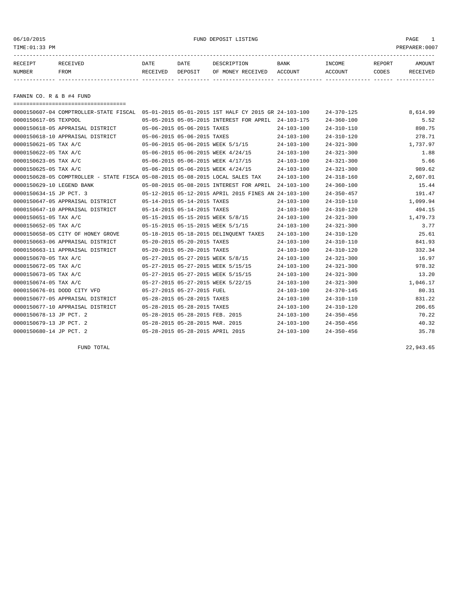#### 06/10/2015 FUND DEPOSIT LISTING PAGE 1

| RECEIPT | <b>RECEIVED</b> | DATE            | DATE    | DESCRIPTION       | <b>BANK</b> | INCOME  | REPORT | AMOUNT   |
|---------|-----------------|-----------------|---------|-------------------|-------------|---------|--------|----------|
| NUMBER  | FROM            | <b>RECEIVED</b> | DEPOSIT | OF MONEY RECEIVED | ACCOUNT     | ACCOUNT | CODES  | RECEIVED |
|         |                 |                 |         |                   |             |         |        |          |

FANNIN CO. R & B #4 FUND

| =====================================                                                       |                                 |                                  |                                                      |                  |                  |          |
|---------------------------------------------------------------------------------------------|---------------------------------|----------------------------------|------------------------------------------------------|------------------|------------------|----------|
| 0000150607-04 COMPTROLLER-STATE FISCAL 05-01-2015 05-01-2015 1ST HALF CY 2015 GR 24-103-100 |                                 |                                  |                                                      |                  | $24 - 370 - 125$ | 8,614.99 |
| 0000150617-05 TEXPOOL                                                                       |                                 |                                  | 05-05-2015 05-05-2015 INTEREST FOR APRIL             | 24-103-175       | $24 - 360 - 100$ | 5.52     |
| 0000150618-05 APPRAISAL DISTRICT                                                            |                                 | 05-06-2015 05-06-2015 TAXES      |                                                      | $24 - 103 - 100$ | $24 - 310 - 110$ | 898.75   |
| 0000150618-10 APPRAISAL DISTRICT                                                            | 05-06-2015 05-06-2015 TAXES     |                                  |                                                      | $24 - 103 - 100$ | $24 - 310 - 120$ | 278.71   |
| 0000150621-05 TAX A/C                                                                       |                                 |                                  | 05-06-2015 05-06-2015 WEEK 5/1/15                    | $24 - 103 - 100$ | $24 - 321 - 300$ | 1,737.97 |
| 0000150622-05 TAX A/C                                                                       |                                 |                                  | 05-06-2015 05-06-2015 WEEK 4/24/15                   | $24 - 103 - 100$ | $24 - 321 - 300$ | 1.88     |
| 0000150623-05 TAX A/C                                                                       |                                 |                                  | 05-06-2015 05-06-2015 WEEK 4/17/15                   | $24 - 103 - 100$ | $24 - 321 - 300$ | 5.66     |
| 0000150625-05 TAX A/C                                                                       |                                 |                                  | 05-06-2015 05-06-2015 WEEK 4/24/15                   | $24 - 103 - 100$ | $24 - 321 - 300$ | 989.62   |
| 0000150628-05 COMPTROLLER - STATE FISCA 05-08-2015 05-08-2015 LOCAL SALES TAX               |                                 |                                  |                                                      | $24 - 103 - 100$ | $24 - 318 - 160$ | 2,607.01 |
| 0000150629-10 LEGEND BANK                                                                   |                                 |                                  | 05-08-2015 05-08-2015 INTEREST FOR APRIL             | $24 - 103 - 100$ | $24 - 360 - 100$ | 15.44    |
| 0000150634-15 JP PCT. 3                                                                     |                                 |                                  | 05-12-2015 05-12-2015 APRIL 2015 FINES AN 24-103-100 |                  | $24 - 350 - 457$ | 191.47   |
| 0000150647-05 APPRAISAL DISTRICT                                                            | 05-14-2015 05-14-2015 TAXES     |                                  |                                                      | $24 - 103 - 100$ | $24 - 310 - 110$ | 1,099.94 |
| 0000150647-10 APPRAISAL DISTRICT                                                            | 05-14-2015 05-14-2015 TAXES     |                                  |                                                      | $24 - 103 - 100$ | $24 - 310 - 120$ | 494.15   |
| 0000150651-05 TAX A/C                                                                       |                                 |                                  | 05-15-2015 05-15-2015 WEEK 5/8/15                    | $24 - 103 - 100$ | $24 - 321 - 300$ | 1,479.73 |
| 0000150652-05 TAX A/C                                                                       |                                 |                                  | 05-15-2015 05-15-2015 WEEK 5/1/15                    | $24 - 103 - 100$ | $24 - 321 - 300$ | 3.77     |
| 0000150658-05 CITY OF HONEY GROVE                                                           |                                 |                                  | 05-18-2015 05-18-2015 DELINOUENT TAXES               | $24 - 103 - 100$ | $24 - 310 - 120$ | 25.61    |
| 0000150663-06 APPRAISAL DISTRICT                                                            |                                 | 05-20-2015 05-20-2015 TAXES      |                                                      | $24 - 103 - 100$ | $24 - 310 - 110$ | 841.93   |
| 0000150663-11 APPRAISAL DISTRICT                                                            |                                 | 05-20-2015 05-20-2015 TAXES      |                                                      | $24 - 103 - 100$ | $24 - 310 - 120$ | 332.34   |
| 0000150670-05 TAX A/C                                                                       |                                 |                                  | 05-27-2015 05-27-2015 WEEK 5/8/15                    | $24 - 103 - 100$ | $24 - 321 - 300$ | 16.97    |
| 0000150672-05 TAX A/C                                                                       |                                 |                                  | 05-27-2015 05-27-2015 WEEK 5/15/15                   | $24 - 103 - 100$ | $24 - 321 - 300$ | 978.32   |
| 0000150673-05 TAX A/C                                                                       |                                 |                                  | 05-27-2015 05-27-2015 WEEK 5/15/15                   | $24 - 103 - 100$ | $24 - 321 - 300$ | 13.20    |
| 0000150674-05 TAX A/C                                                                       |                                 |                                  | 05-27-2015 05-27-2015 WEEK 5/22/15                   | $24 - 103 - 100$ | $24 - 321 - 300$ | 1,046.17 |
| 0000150676-01 DODD CITY VFD                                                                 |                                 | 05-27-2015 05-27-2015 FUEL       |                                                      | $24 - 103 - 100$ | $24 - 370 - 145$ | 80.31    |
| 0000150677-05 APPRAISAL DISTRICT                                                            | 05-28-2015 05-28-2015 TAXES     |                                  |                                                      | $24 - 103 - 100$ | $24 - 310 - 110$ | 831.22   |
| 0000150677-10 APPRAISAL DISTRICT                                                            | 05-28-2015 05-28-2015 TAXES     |                                  |                                                      | $24 - 103 - 100$ | $24 - 310 - 120$ | 206.65   |
| 0000150678-13 JP PCT. 2                                                                     |                                 | 05-28-2015 05-28-2015 FEB. 2015  |                                                      | $24 - 103 - 100$ | $24 - 350 - 456$ | 70.22    |
| 0000150679-13 JP PCT. 2                                                                     | 05-28-2015 05-28-2015 MAR. 2015 |                                  |                                                      | $24 - 103 - 100$ | $24 - 350 - 456$ | 40.32    |
| 0000150680-14 JP PCT. 2                                                                     |                                 | 05-28-2015 05-28-2015 APRIL 2015 |                                                      | $24 - 103 - 100$ | $24 - 350 - 456$ | 35.78    |

FUND TOTAL 22,943.65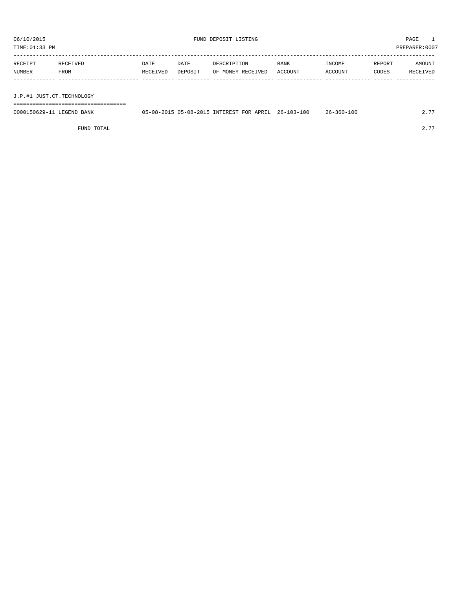TIME:01:33 PM PREPARER:0007

| RECEIPT       | RECEIVED | <b>DATE</b> | DATE    | DESCRIPTION       | BANK    | INCOME  | REPORT | AMOUNT   |
|---------------|----------|-------------|---------|-------------------|---------|---------|--------|----------|
| <b>NUMBER</b> | FROM     | RECEIVED    | DEPOSIT | OF MONEY RECEIVED | ACCOUNT | ACCOUNT | CODES  | RECEIVED |
|               |          |             |         |                   |         |         |        |          |
|               |          |             |         |                   |         |         |        |          |

J.P.#1 JUST.CT.TECHNOLOGY

===================================

| 0000150629-11 LEGEND BANK | 05-08-2015 05-08-2015 INTEREST FOR APRIL 26-103-100 |  | $26 - 360 - 100$ | $\sim$ $\sim$ |
|---------------------------|-----------------------------------------------------|--|------------------|---------------|
|                           |                                                     |  |                  |               |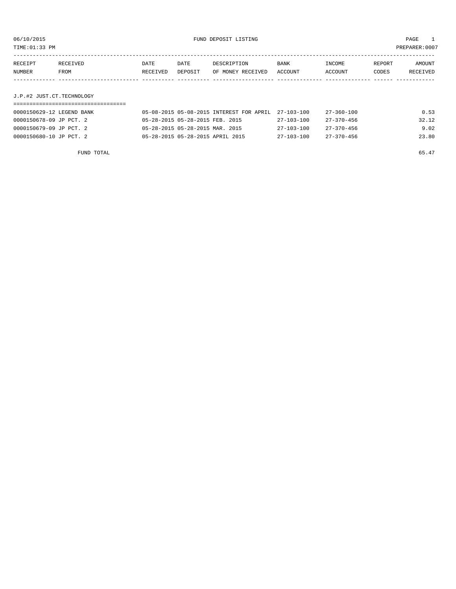TIME:01:33 PM PREPARER:0007

| RECEIPT | RECEIVED | DATE     | DATE    | DESCRIPTION               | <b>BANK</b> | INCOME  | REPORT | AMOUNT   |
|---------|----------|----------|---------|---------------------------|-------------|---------|--------|----------|
| NUMBER  | FROM     | RECEIVED | DEPOSIT | OF MONEY RECEIVED ACCOUNT |             | ACCOUNT | CODES  | RECEIVED |
|         |          |          |         |                           |             |         |        |          |
|         |          |          |         |                           |             |         |        |          |

# J.P.#2 JUST.CT.TECHNOLOGY

| 0000150629-12 LEGEND BANK | 05-08-2015 05-08-2015 INTEREST FOR APRIL 27-103-100 |                  | 27-360-100       | 0.53  |
|---------------------------|-----------------------------------------------------|------------------|------------------|-------|
| 0000150678-09 JP PCT. 2   | 05-28-2015 05-28-2015 FEB. 2015                     | 27-103-100       | 27-370-456       | 32.12 |
| 0000150679-09 JP PCT. 2   | 05-28-2015 05-28-2015 MAR. 2015                     | $27 - 103 - 100$ | $27 - 370 - 456$ | 9.02  |
| 0000150680-10 JP PCT, 2   | 05-28-2015 05-28-2015 APRIL 2015                    | 27-103-100       | $27 - 370 - 456$ | 23.80 |

FUND TOTAL 65.47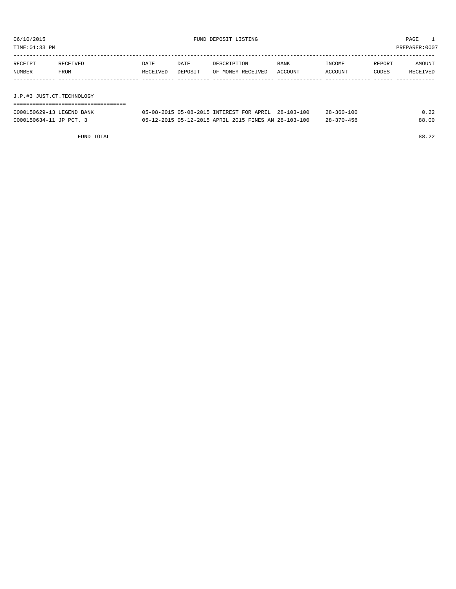TIME:01:33 PM PREPARER:0007

| RECEIPT | RECEIVED                  | DATE     | DATE    | DESCRIPTION       | <b>BANK</b> | INCOME  | REPORT | AMOUNT   |  |  |
|---------|---------------------------|----------|---------|-------------------|-------------|---------|--------|----------|--|--|
| NUMBER  | FROM                      | RECEIVED | DEPOSIT | OF MONEY RECEIVED | ACCOUNT     | ACCOUNT | CODES  | RECEIVED |  |  |
|         |                           |          |         |                   |             |         |        |          |  |  |
|         |                           |          |         |                   |             |         |        |          |  |  |
|         | J.P.#3 JUST.CT.TECHNOLOGY |          |         |                   |             |         |        |          |  |  |

| ----------------------<br>---------------------------- |                                                      |                  |       |
|--------------------------------------------------------|------------------------------------------------------|------------------|-------|
| 0000150629-13 LEGEND BANK                              | 05-08-2015 05-08-2015 INTEREST FOR APRIL 28-103-100  | $28 - 360 - 100$ | 0.22  |
| 0000150634-11 JP PCT. 3                                | 05-12-2015 05-12-2015 APRIL 2015 FINES AN 28-103-100 | $28 - 370 - 456$ | 88.00 |

FUND TOTAL 88.22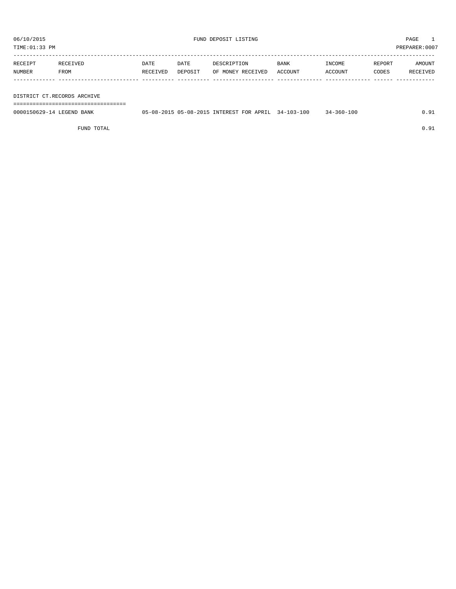| RECEIPT | RECEIVED | DATE     | DATE    | DESCRIPTION       | BANK    | INCOME  | REPORT | AMOUNT   |
|---------|----------|----------|---------|-------------------|---------|---------|--------|----------|
| NUMBER  | FROM     | RECEIVED | DEPOSIT | OF MONEY RECEIVED | ACCOUNT | ACCOUNT | CODES  | RECEIVED |
|         |          |          |         |                   |         |         |        |          |

DISTRICT CT.RECORDS ARCHIVE

===================================

| 0000150629-14 LEGEND BANK | 05-08-2015 05-08-2015 INTEREST FOR APRIL 34-103-100 |  |  | $34 - 360 - 100$ |  |
|---------------------------|-----------------------------------------------------|--|--|------------------|--|
|                           |                                                     |  |  |                  |  |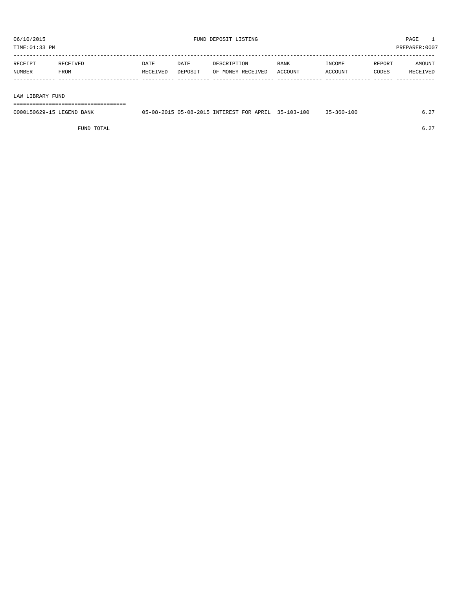TIME:01:33 PM PREPARER:0007

| RECEIPT       | <b>RECEIVED</b> | DATE     | DATE    | DESCRIPTION       | <b>BANK</b> | <b>INCOME</b> | <b>REPORT</b> | AMOUNT          |
|---------------|-----------------|----------|---------|-------------------|-------------|---------------|---------------|-----------------|
| <b>NUMBER</b> | FROM            | RECEIVED | DEPOSIT | OF MONEY RECEIVED | ACCOUNT     | CCOUNT        | CODES         | <b>RECEIVED</b> |
|               |                 |          |         |                   |             |               |               |                 |

#### LAW LIBRARY FUND

===================================

| 0000150629-15 LEGEND BANK | 05-08-2015 05-08-2015 INTEREST FOR APRIL 35-103-100 |  | $35 - 360 - 100$ | , |
|---------------------------|-----------------------------------------------------|--|------------------|---|
|                           |                                                     |  |                  |   |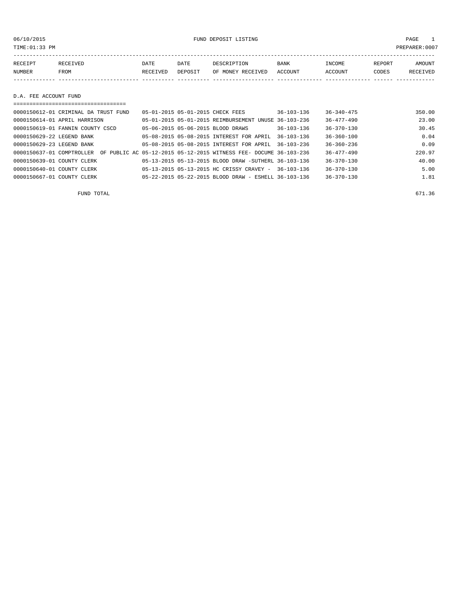06/10/2015 FUND DEPOSIT LISTING PAGE 1

| RECEIPT | <b>RECEIVED</b> | DATE     | DATE    | DESCRIPTION       | <b>BANK</b> | INCOME  | REPORT | AMOUNT          |
|---------|-----------------|----------|---------|-------------------|-------------|---------|--------|-----------------|
| NUMBER  | FROM            | RECEIVED | DEPOSIT | OF MONEY RECEIVED | ACCOUNT     | ACCOUNT | CODES  | <b>RECEIVED</b> |
|         |                 |          |         |                   |             |         |        |                 |

D.A. FEE ACCOUNT FUND

| 0000150612-01 CRIMINAL DA TRUST FUND | 05-01-2015 05-01-2015 CHECK FEES                                  | $36 - 103 - 136$ | $36 - 340 - 475$ | 350.00 |
|--------------------------------------|-------------------------------------------------------------------|------------------|------------------|--------|
| 0000150614-01 APRIL HARRISON         | 05-01-2015 05-01-2015 REIMBURSEMENT UNUSE 36-103-236              |                  | $36 - 477 - 490$ | 23.00  |
| 0000150619-01 FANNIN COUNTY CSCD     | 05-06-2015 05-06-2015 BLOOD DRAWS                                 | $36 - 103 - 136$ | $36 - 370 - 130$ | 30.45  |
| 0000150629-22 LEGEND BANK            | 05-08-2015 05-08-2015 INTEREST FOR APRIL                          | $36 - 103 - 136$ | $36 - 360 - 100$ | 0.04   |
| 0000150629-23 LEGEND BANK            | 05-08-2015 05-08-2015 INTEREST FOR APRIL                          | $36 - 103 - 236$ | $36 - 360 - 236$ | 0.09   |
| 0000150637-01 COMPTROLLER            | OF PUBLIC AC 05-12-2015 05-12-2015 WITNESS FEE- DOCUME 36-103-236 |                  | $36 - 477 - 490$ | 220.97 |
| 0000150639-01 COUNTY CLERK           | 05-13-2015 05-13-2015 BLOOD DRAW -SUTHERL 36-103-136              |                  | $36 - 370 - 130$ | 40.00  |
| 0000150640-01 COUNTY CLERK           | 05-13-2015 05-13-2015 HC CRISSY CRAVEY - 36-103-136               |                  | $36 - 370 - 130$ | 5.00   |
| 0000150667-01 COUNTY CLERK           | 05-22-2015 05-22-2015 BLOOD DRAW - ESHELL 36-103-136              |                  | $36 - 370 - 130$ | 1.81   |

FUND TOTAL 671.36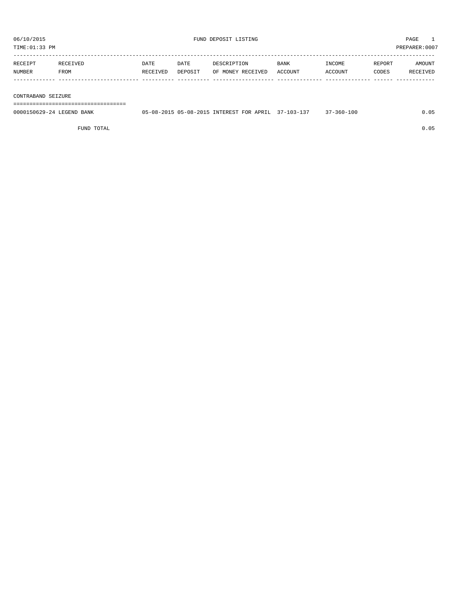| RECEIPT | RECEIVED | DATE     | DATE    | DESCRIPTION               | BANK | <b>TNCOME</b> | REPORT | <b>AMOUNT</b> |
|---------|----------|----------|---------|---------------------------|------|---------------|--------|---------------|
| NUMBER  | FROM     | RECEIVED | DEPOSIT | OF MONEY RECEIVED ACCOUNT |      | ACCOUNT       | CODES  | RECEIVED      |
|         |          |          |         |                           |      |               |        |               |
|         |          |          |         |                           |      |               |        |               |

#### CONTRABAND SEIZURE

===================================

| 0000150629-24 LEGEND<br>BANK | $0.5 - 0.8 - 2.01.5$ $0.5 - 0.8 - 2.01.5$ | INTEREST FOR APRIL | $103 -$<br>$\sim$ $\sim$<br>. | $360 - 100$ |  |
|------------------------------|-------------------------------------------|--------------------|-------------------------------|-------------|--|
|                              |                                           |                    |                               |             |  |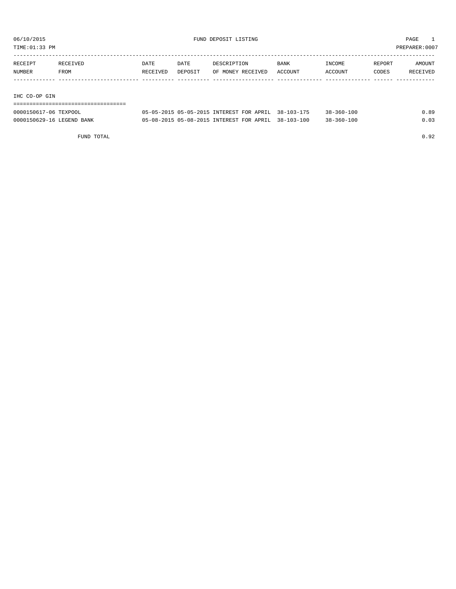TIME:01:33 PM PREPARER:0007

| RECEIPT | RECEIVED | DATE     | DATE    | DESCRIPTION       | <b>BANK</b> | INCOME  | REPORT | AMOUNT   |
|---------|----------|----------|---------|-------------------|-------------|---------|--------|----------|
| NUMBER  | FROM     | RECEIVED | DEPOSIT | OF MONEY RECEIVED | ACCOUNT     | ACCOUNT | CODES  | RECEIVED |
|         |          |          |         |                   |             |         |        |          |

#### IHC CO-OP GIN

| 0000150617-06 TEXPOOL     | 05-05-2015 05-05-2015 INTEREST FOR APRIL 38-103-175 |  | $38 - 360 - 100$ | 0.89 |
|---------------------------|-----------------------------------------------------|--|------------------|------|
| 0000150629-16 LEGEND BANK | 05-08-2015 05-08-2015 INTEREST FOR APRIL 38-103-100 |  | $38 - 360 - 100$ | 0.03 |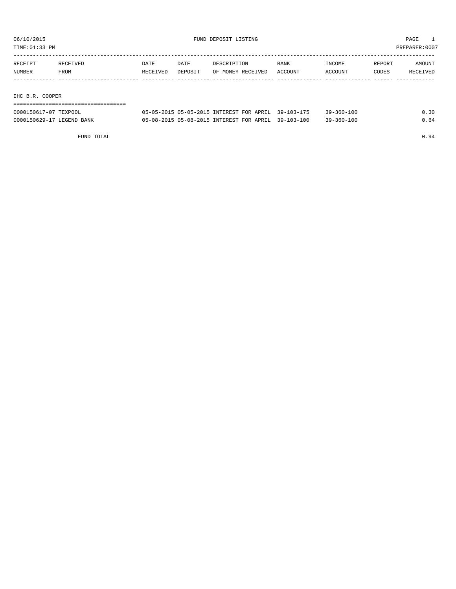TIME:01:33 PM PREPARER:0007

| RECEIPT | RECEIVED | DATE     | DATE    | DESCRIPTION       | <b>BANK</b> | INCOME  | REPORT | AMOUNT   |
|---------|----------|----------|---------|-------------------|-------------|---------|--------|----------|
| NUMBER  | FROM     | RECEIVED | DEPOSIT | OF MONEY RECEIVED | ACCOUNT     | ACCOUNT | CODES  | RECEIVED |
|         |          |          |         |                   |             |         |        |          |
|         |          |          |         |                   |             |         |        |          |

IHC B.R. COOPER

| --------------------      |                                                     |                  |      |
|---------------------------|-----------------------------------------------------|------------------|------|
| 0000150617-07 TEXPOOL     | 05-05-2015 05-05-2015 INTEREST FOR APRIL 39-103-175 | $39 - 360 - 100$ | 0.30 |
| 0000150629-17 LEGEND BANK | 05-08-2015 05-08-2015 INTEREST FOR APRIL 39-103-100 | $39 - 360 - 100$ | 0.64 |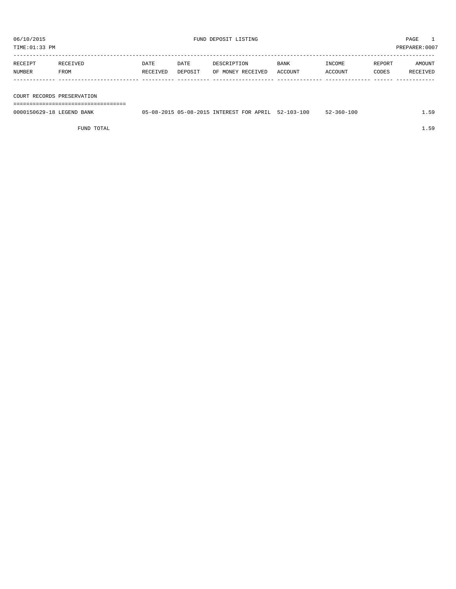| RECEIPT | RECEIVED    | DATE     | DATE    | DESCRIPTION       | <b>BANK</b> | INCOME  | REPORT | AMOUNT   |
|---------|-------------|----------|---------|-------------------|-------------|---------|--------|----------|
| NUMBER  | <b>FROM</b> | RECEIVED | DEPOSIT | OF MONEY RECEIVED | ACCOUNT     | ACCOUNT | CODES  | RECEIVED |
|         |             |          |         |                   |             |         |        |          |
|         |             |          |         |                   |             |         |        |          |

COURT RECORDS PRESERVATION

===================================

| 0000150629-18 LEGEND BANK | 05-08-2015 05-08-2015 INTEREST FOR APRIL |  | $52 - 103 - 100$ | $52 - 360 - 100$ |  |
|---------------------------|------------------------------------------|--|------------------|------------------|--|
|                           |                                          |  |                  |                  |  |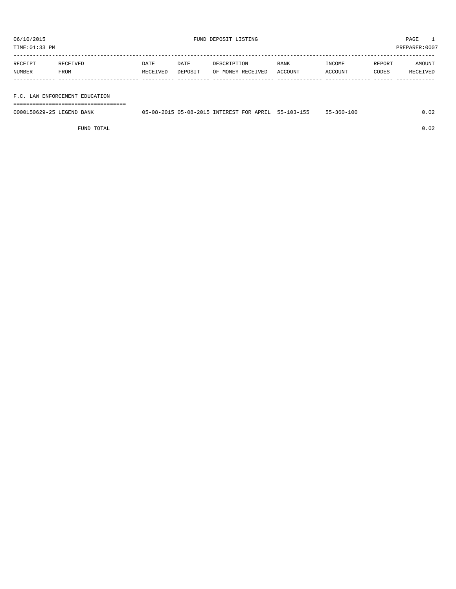TIME:01:33 PM PREPARER:0007

| RECEIPT | <b>RECEIVED</b> | DATE     | DATE    | DESCRIPTION       | <b>BANK</b> | INCOME         | REPORT | AMOUNT   |
|---------|-----------------|----------|---------|-------------------|-------------|----------------|--------|----------|
| NUMBER  | <b>FROM</b>     | RECEIVED | DEPOSIT | OF MONEY RECEIVED | ACCOUNT     | <b>ACCOUNT</b> | CODES  | RECEIVED |
|         |                 |          |         |                   |             |                |        |          |

#### F.C. LAW ENFORCEMENT EDUCATION

===================================

| 0000150629-25 LEGEND BANK | 05-08-2015 05-08-2015 INTEREST FOR APRIL 55-103-155 |  | $55 - 360 - 100$ |  |
|---------------------------|-----------------------------------------------------|--|------------------|--|
|                           |                                                     |  |                  |  |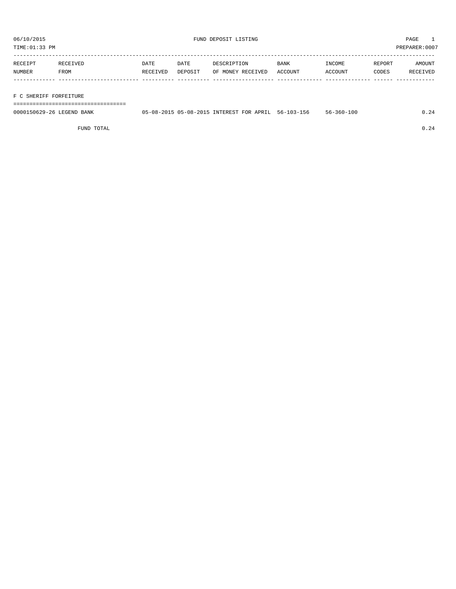TIME:01:33 PM PREPARER:0007

| RECEIPT | RECEIVED    | DATE     | DATE    | DESCRIPTION       | <b>BANK</b> | INCOME  | REPORT | AMOUNT          |
|---------|-------------|----------|---------|-------------------|-------------|---------|--------|-----------------|
| NUMBER  | <b>FROM</b> | RECEIVED | DEPOSIT | OF MONEY RECEIVED | ACCOUNT     | ACCOUNT | CODES  | <b>RECEIVED</b> |
|         |             |          |         |                   |             |         |        |                 |

#### F C SHERIFF FORFEITURE

===================================

| 0000150629-26 LEGEND BANK | 05-08-2015 05-08-2015 INTEREST FOR APRIL |  | $56 - 103 - 156$ | $56 - 360 - 100$ |  |
|---------------------------|------------------------------------------|--|------------------|------------------|--|
|                           |                                          |  |                  |                  |  |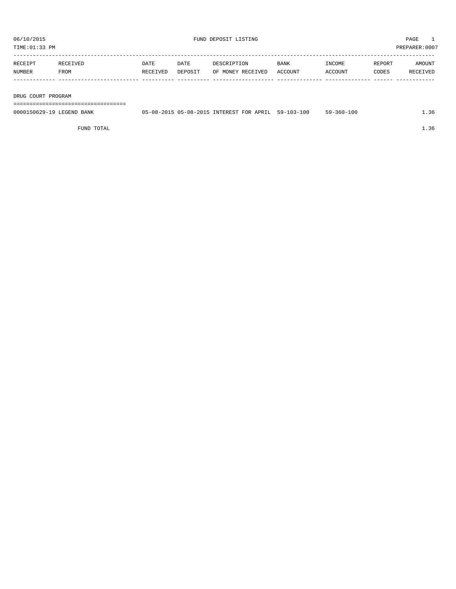TIME:01:33 PM PREPARER:0007

| RECEIPT | <b>RECEIVED</b> | DATE     | DATE    | DESCRIPTION       | <b>BANK</b> | INCOME  | REPORT | AMOUNT   |
|---------|-----------------|----------|---------|-------------------|-------------|---------|--------|----------|
| NUMBER  | FROM            | RECEIVED | DEPOSIT | OF MONEY RECEIVED | ACCOUNT     | ACCOUNT | CODES  | RECEIVED |
|         |                 |          |         |                   |             |         |        |          |

DRUG COURT PROGRAM

===================================

| 0000150629-19 LEGEND BANK | 05-08-2015 05-08-2015 INTEREST FOR APRIL |  | 59-103-100 | $59 - 360 - 100$ |  |
|---------------------------|------------------------------------------|--|------------|------------------|--|
|                           |                                          |  |            |                  |  |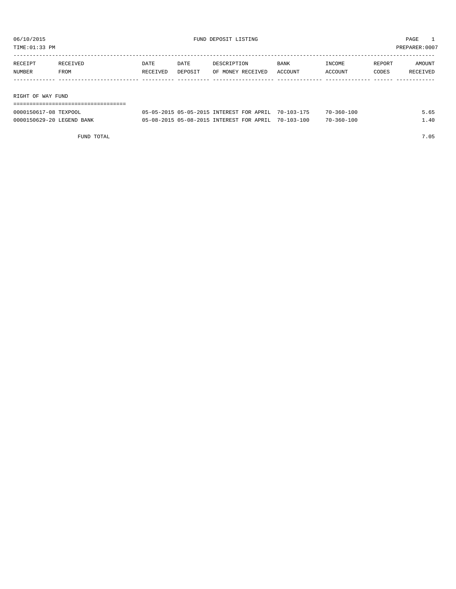TIME:01:33 PM PREPARER:0007

| RECEIPT       | RECEIVED | DATE     | DATE    | DESCRIPTION       | <b>BANK</b> | INCOME  | REPORT | AMOUNT   |
|---------------|----------|----------|---------|-------------------|-------------|---------|--------|----------|
| <b>NUMBER</b> | FROM     | RECEIVED | DEPOSIT | OF MONEY RECEIVED | ACCOUNT     | ACCOUNT | CODES  | RECEIVED |
|               |          |          |         |                   |             |         |        |          |
|               |          |          |         |                   |             |         |        |          |
|               |          |          |         |                   |             |         |        |          |

RIGHT OF WAY FUND

| 0000150617-08 TEXPOOL     | 05-05-2015 05-05-2015 INTEREST FOR APRIL 70-103-175 |  | $70 - 360 - 100$ | 5.65 |
|---------------------------|-----------------------------------------------------|--|------------------|------|
| 0000150629-20 LEGEND BANK | 05-08-2015 05-08-2015 INTEREST FOR APRIL 70-103-100 |  | 70-360-100       | .40  |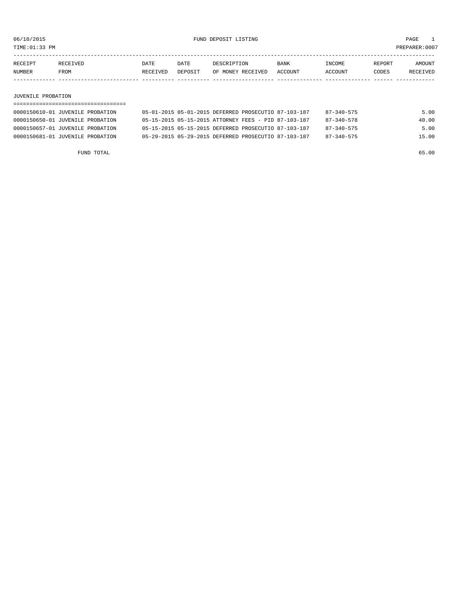TIME:01:33 PM PREPARER:0007

| RECEIPT | RECEIVED | DATE     | DATE    | DESCRIPTION       | <b>BANK</b> | <b>INCOME</b>  | <b>REPORT</b> | <b>AMOUNT</b>   |
|---------|----------|----------|---------|-------------------|-------------|----------------|---------------|-----------------|
| NUMBER  | FROM     | RECEIVED | DEPOSIT | OF MONEY RECEIVED | ACCOUNT     | <b>ACCOUNT</b> | CODES         | <b>RECEIVED</b> |
|         |          |          |         |                   |             |                |               |                 |

#### JUVENILE PROBATION

| 0000150610-01 JUVENILE PROBATION | 05-01-2015 05-01-2015 DEFERRED PROSECUTIO 87-103-187 |  |  | $87 - 340 - 575$ | 5.00  |
|----------------------------------|------------------------------------------------------|--|--|------------------|-------|
| 0000150650-01 JUVENILE PROBATION | 05-15-2015 05-15-2015 ATTORNEY FEES - PID 87-103-187 |  |  | $87 - 340 - 578$ | 40.00 |
| 0000150657-01 JUVENILE PROBATION | 05-15-2015 05-15-2015 DEFERRED PROSECUTIO 87-103-187 |  |  | $87 - 340 - 575$ | 5.00  |
| 0000150681-01 JUVENILE PROBATION | 05-29-2015 05-29-2015 DEFERRED PROSECUTIO 87-103-187 |  |  | $87 - 340 - 575$ | 15.00 |

FUND TOTAL 65.00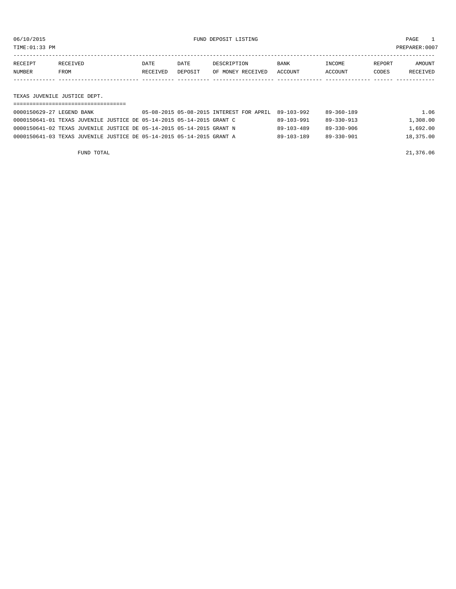TIME:01:33 PM PREPARER:0007

| RECEIPT | <b>RECEIVED</b> | DATE            | DATE    | DESCRIPTION       | <b>BANK</b> | <b>INCOME</b> | REPORT | AMOUNT          |
|---------|-----------------|-----------------|---------|-------------------|-------------|---------------|--------|-----------------|
| NUMBER  | FROM            | <b>RECEIVED</b> | DEPOSIT | OF MONEY RECEIVED | ACCOUNT     | ACCOUNT       | CODES  | <b>RECEIVED</b> |
|         |                 |                 |         |                   |             |               |        |                 |

TEXAS JUVENILE JUSTICE DEPT.

| 0000150629-27 LEGEND BANK                                             | 05-08-2015 05-08-2015 INTEREST FOR APRIL | 89-103-992       | 89-360-189       | 1.06      |
|-----------------------------------------------------------------------|------------------------------------------|------------------|------------------|-----------|
| 0000150641-01 TEXAS JUVENILE JUSTICE DE 05-14-2015 05-14-2015 GRANT C |                                          | $89 - 103 - 991$ | 89-330-913       | 1,308.00  |
| 0000150641-02 TEXAS JUVENILE JUSTICE DE 05-14-2015 05-14-2015 GRANT N |                                          | $89 - 103 - 489$ | $89 - 330 - 906$ | 1,692.00  |
| 0000150641-03 TEXAS JUVENILE JUSTICE DE 05-14-2015 05-14-2015 GRANT A |                                          | $89 - 103 - 189$ | 89-330-901       | 18,375.00 |

FUND TOTAL 21,376.06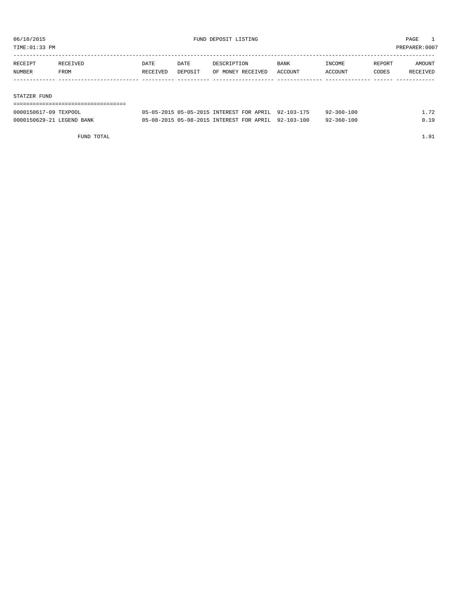TIME:01:33 PM PREPARER:0007

| RECEIPT | RECEIVED | <b>DATE</b> | DATE    | DESCRIPTION       | <b>BANK</b> | INCOME  | REPORT | AMOUNT   |
|---------|----------|-------------|---------|-------------------|-------------|---------|--------|----------|
| NUMBER  | FROM     | RECEIVED    | DEPOSIT | OF MONEY RECEIVED | ACCOUNT     | ACCOUNT | CODES  | RECEIVED |
|         |          |             |         |                   |             |         |        |          |
|         |          |             |         |                   |             |         |        |          |

#### STATZER FUND

| 0000150617-09 TEXPOOL     | 05-05-2015 05-05-2015 INTEREST FOR APRIL 92-103-175 | $92 - 360 - 100$ |      |
|---------------------------|-----------------------------------------------------|------------------|------|
| 0000150629-21 LEGEND BANK | 05-08-2015 05-08-2015 INTEREST FOR APRIL 92-103-100 | $92 - 360 - 100$ | n 19 |